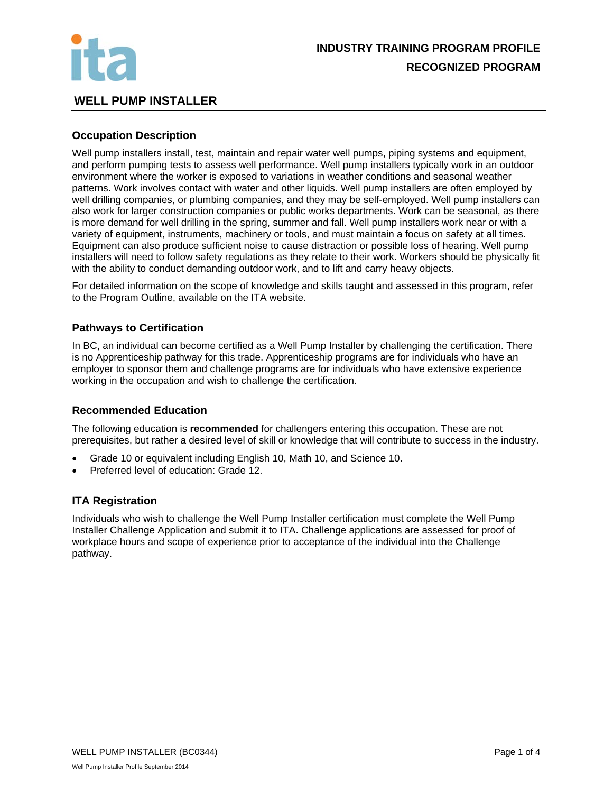

# **WELL PUMP INSTALLER**

### **Occupation Description**

Well pump installers install, test, maintain and repair water well pumps, piping systems and equipment, and perform pumping tests to assess well performance. Well pump installers typically work in an outdoor environment where the worker is exposed to variations in weather conditions and seasonal weather patterns. Work involves contact with water and other liquids. Well pump installers are often employed by well drilling companies, or plumbing companies, and they may be self-employed. Well pump installers can also work for larger construction companies or public works departments. Work can be seasonal, as there is more demand for well drilling in the spring, summer and fall. Well pump installers work near or with a variety of equipment, instruments, machinery or tools, and must maintain a focus on safety at all times. Equipment can also produce sufficient noise to cause distraction or possible loss of hearing. Well pump installers will need to follow safety regulations as they relate to their work. Workers should be physically fit with the ability to conduct demanding outdoor work, and to lift and carry heavy objects.

For detailed information on the scope of knowledge and skills taught and assessed in this program, refer to the Program Outline, available on the ITA website.

#### **Pathways to Certification**

In BC, an individual can become certified as a Well Pump Installer by challenging the certification. There is no Apprenticeship pathway for this trade. Apprenticeship programs are for individuals who have an employer to sponsor them and challenge programs are for individuals who have extensive experience working in the occupation and wish to challenge the certification.

#### **Recommended Education**

The following education is **recommended** for challengers entering this occupation. These are not prerequisites, but rather a desired level of skill or knowledge that will contribute to success in the industry.

- Grade 10 or equivalent including English 10, Math 10, and Science 10.
- Preferred level of education: Grade 12.

#### **ITA Registration**

Individuals who wish to challenge the Well Pump Installer certification must complete the Well Pump Installer Challenge Application and submit it to ITA. Challenge applications are assessed for proof of workplace hours and scope of experience prior to acceptance of the individual into the Challenge pathway.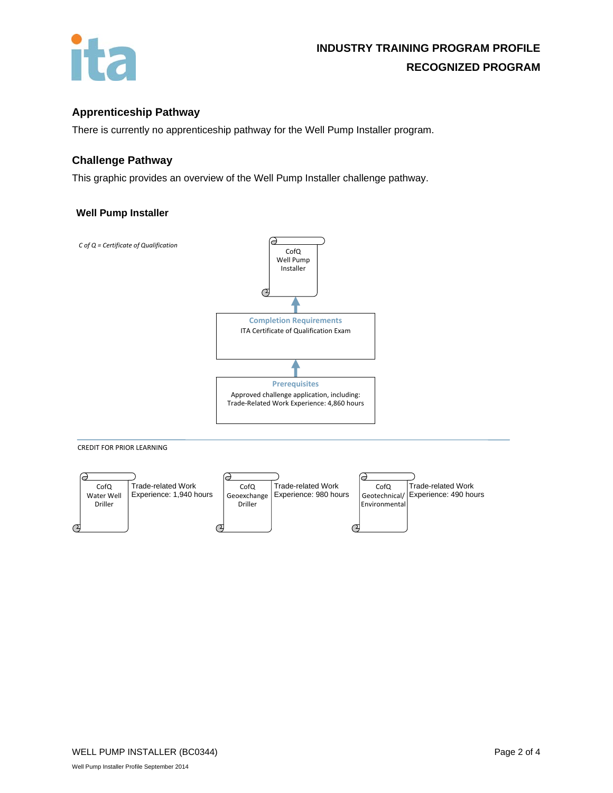

# **Apprenticeship Pathway**

There is currently no apprenticeship pathway for the Well Pump Installer program.

### **Challenge Pathway**

This graphic provides an overview of the Well Pump Installer challenge pathway.

#### **Well Pump Installer**



#### CREDIT FOR PRIOR LEARNING

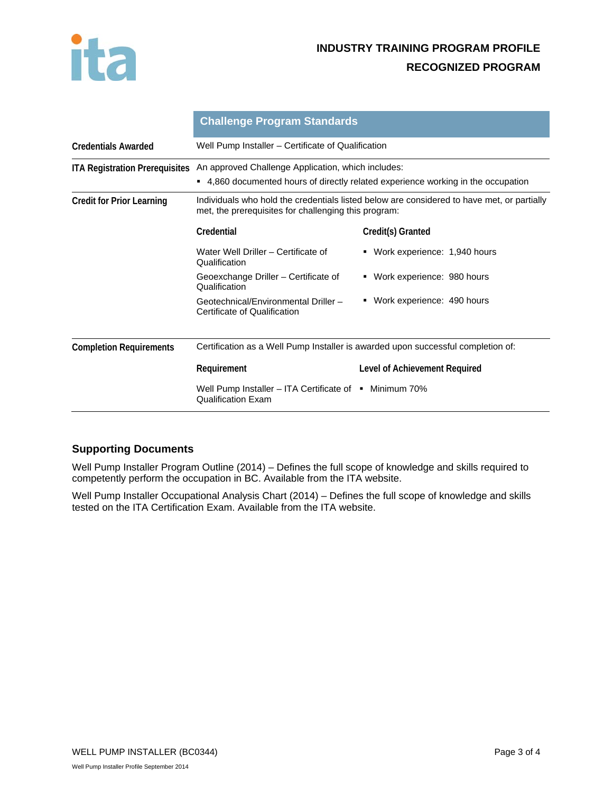

# **INDUSTRY TRAINING PROGRAM PROFILE RECOGNIZED PROGRAM**

|                                       | <b>Challenge Program Standards</b>                                                                                                                 |                                   |  |  |  |
|---------------------------------------|----------------------------------------------------------------------------------------------------------------------------------------------------|-----------------------------------|--|--|--|
| <b>Credentials Awarded</b>            | Well Pump Installer – Certificate of Qualification                                                                                                 |                                   |  |  |  |
| <b>ITA Registration Prerequisites</b> | An approved Challenge Application, which includes:                                                                                                 |                                   |  |  |  |
|                                       | 4,860 documented hours of directly related experience working in the occupation<br>٠                                                               |                                   |  |  |  |
| <b>Credit for Prior Learning</b>      | Individuals who hold the credentials listed below are considered to have met, or partially<br>met, the prerequisites for challenging this program: |                                   |  |  |  |
|                                       | Credential                                                                                                                                         | Credit(s) Granted                 |  |  |  |
|                                       | Water Well Driller - Certificate of<br>Qualification                                                                                               | Work experience: 1,940 hours<br>٠ |  |  |  |
|                                       | Geoexchange Driller - Certificate of<br>Qualification                                                                                              | • Work experience: 980 hours      |  |  |  |
|                                       | Geotechnical/Environmental Driller -<br>Certificate of Qualification                                                                               | Work experience: 490 hours<br>٠   |  |  |  |
| <b>Completion Requirements</b>        | Certification as a Well Pump Installer is awarded upon successful completion of:                                                                   |                                   |  |  |  |
|                                       | Requirement                                                                                                                                        | Level of Achievement Required     |  |  |  |
|                                       | Well Pump Installer - ITA Certificate of • Minimum 70%<br><b>Qualification Exam</b>                                                                |                                   |  |  |  |

## **Supporting Documents**

Well Pump Installer Program Outline (2014) – Defines the full scope of knowledge and skills required to competently perform the occupation in BC. Available from the ITA website.

Well Pump Installer Occupational Analysis Chart (2014) – Defines the full scope of knowledge and skills tested on the ITA Certification Exam. Available from the ITA website.